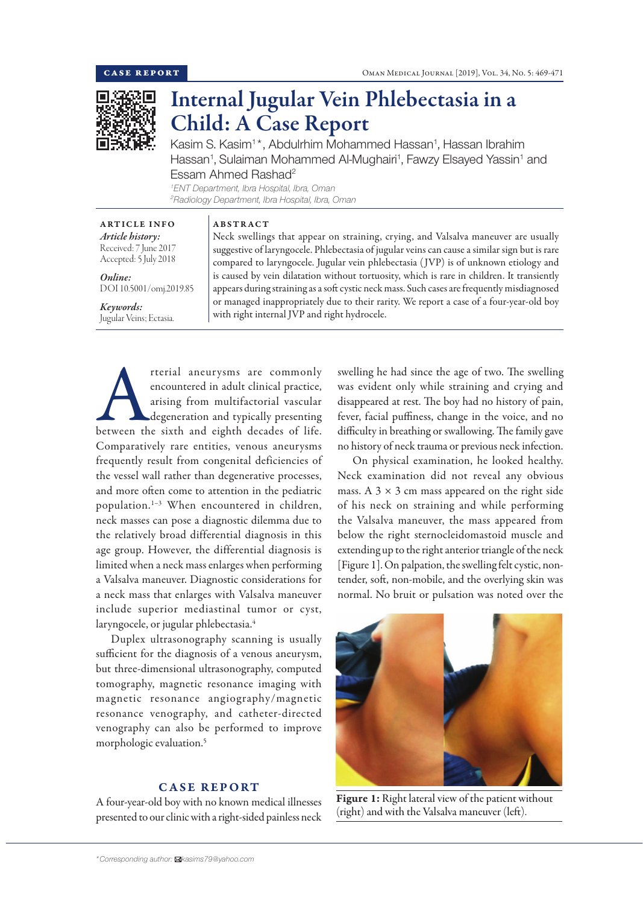

# Internal Jugular Vein Phlebectasia in a Child: A Case Report

Kasim S. Kasim<sup>1\*</sup>, Abdulrhim Mohammed Hassan<sup>1</sup>, Hassan Ibrahim Hassan<sup>1</sup>, Sulaiman Mohammed Al-Mughairi<sup>1</sup>, Fawzy Elsayed Yassin<sup>1</sup> and Essam Ahmed Rashad<sup>2</sup> *1 ENT Department, Ibra Hospital, Ibra, Oman*

*2 Radiology Department, Ibra Hospital, Ibra, Oman*

ABSTRACT

| <b>ARTICLE INFO</b>   |
|-----------------------|
| Article history:      |
| Received: 7 June 2017 |
| Accepted: 5 July 2018 |

*Online:* DOI 10.5001/omj.2019.85

#### *Keywords:*  Jugular Veins; Ectasia.

Neck swellings that appear on straining, crying, and Valsalva maneuver are usually suggestive of laryngocele. Phlebectasia of jugular veins can cause a similar sign but is rare compared to laryngocele. Jugular vein phlebectasia ( JVP) is of unknown etiology and is caused by vein dilatation without tortuosity, which is rare in children. It transiently appears during straining as a soft cystic neck mass. Such cases are frequently misdiagnosed or managed inappropriately due to their rarity. We report a case of a four-year-old boy with right internal JVP and right hydrocele.

The previous are commonly encountered in adult clinical practice, arising from multifactorial vascular degeneration and typically presenting between the sixth and eighth decades of life. encountered in adult clinical practice, arising from multifactorial vascular degeneration and typically presenting Comparatively rare entities, venous aneurysms frequently result from congenital deficiencies of the vessel wall rather than degenerative processes, and more often come to attention in the pediatric population.1–3 When encountered in children, neck masses can pose a diagnostic dilemma due to the relatively broad differential diagnosis in this age group. However, the differential diagnosis is limited when a neck mass enlarges when performing a Valsalva maneuver. Diagnostic considerations for a neck mass that enlarges with Valsalva maneuver include superior mediastinal tumor or cyst, laryngocele, or jugular phlebectasia.<sup>4</sup>

Duplex ultrasonography scanning is usually sufficient for the diagnosis of a venous aneurysm, but three-dimensional ultrasonography, computed tomography, magnetic resonance imaging with magnetic resonance angiography/magnetic resonance venography, and catheter-directed venography can also be performed to improve morphologic evaluation.5

# CASE REPORT

A four-year-old boy with no known medical illnesses presented to our clinic with a right-sided painless neck

swelling he had since the age of two. The swelling was evident only while straining and crying and disappeared at rest. The boy had no history of pain, fever, facial puffiness, change in the voice, and no difficulty in breathing or swallowing. The family gave no history of neck trauma or previous neck infection.

On physical examination, he looked healthy. Neck examination did not reveal any obvious mass. A  $3 \times 3$  cm mass appeared on the right side of his neck on straining and while performing the Valsalva maneuver, the mass appeared from below the right sternocleidomastoid muscle and extending up to the right anterior triangle of the neck [Figure 1]. On palpation, the swelling felt cystic, nontender, soft, non-mobile, and the overlying skin was normal. No bruit or pulsation was noted over the



Figure 1: Right lateral view of the patient without (right) and with the Valsalva maneuver (left).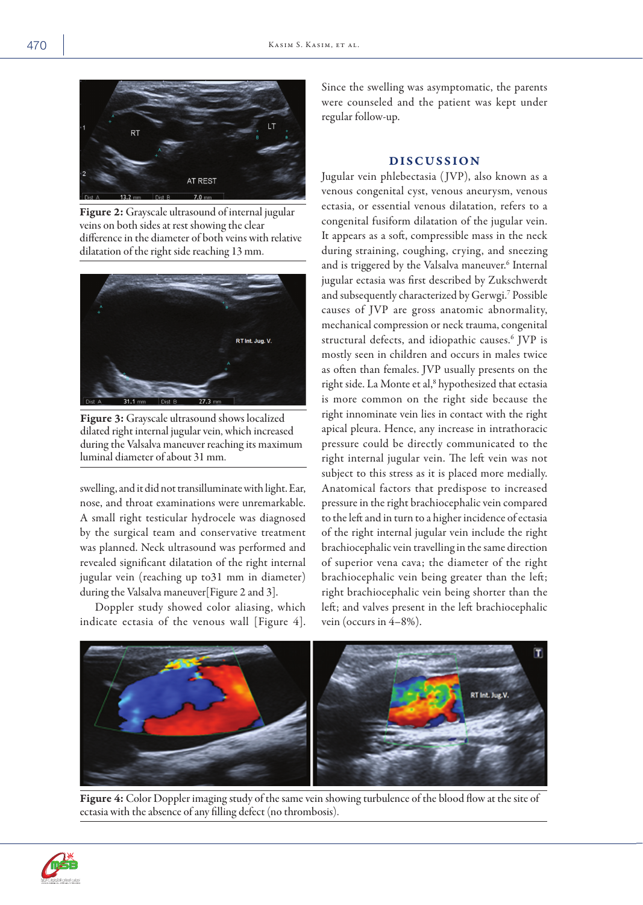

Figure 2: Grayscale ultrasound of internal jugular veins on both sides at rest showing the clear difference in the diameter of both veins with relative dilatation of the right side reaching 13 mm.



Figure 3: Grayscale ultrasound shows localized dilated right internal jugular vein, which increased during the Valsalva maneuver reaching its maximum luminal diameter of about 31 mm.

swelling, and it did not transilluminate with light. Ear, nose, and throat examinations were unremarkable. A small right testicular hydrocele was diagnosed by the surgical team and conservative treatment was planned. Neck ultrasound was performed and revealed significant dilatation of the right internal jugular vein (reaching up to31 mm in diameter) during the Valsalva maneuver[Figure 2 and 3].

Doppler study showed color aliasing, which indicate ectasia of the venous wall [Figure 4].

Since the swelling was asymptomatic, the parents were counseled and the patient was kept under regular follow-up.

## DISCUSSION

Jugular vein phlebectasia ( JVP), also known as a venous congenital cyst, venous aneurysm, venous ectasia, or essential venous dilatation, refers to a congenital fusiform dilatation of the jugular vein. It appears as a soft, compressible mass in the neck during straining, coughing, crying, and sneezing and is triggered by the Valsalva maneuver.<sup>6</sup> Internal jugular ectasia was first described by Zukschwerdt and subsequently characterized by Gerwgi.7 Possible causes of JVP are gross anatomic abnormality, mechanical compression or neck trauma, congenital structural defects, and idiopathic causes.6 JVP is mostly seen in children and occurs in males twice as often than females. JVP usually presents on the right side. La Monte et al,<sup>8</sup> hypothesized that ectasia is more common on the right side because the right innominate vein lies in contact with the right apical pleura. Hence, any increase in intrathoracic pressure could be directly communicated to the right internal jugular vein. The left vein was not subject to this stress as it is placed more medially. Anatomical factors that predispose to increased pressure in the right brachiocephalic vein compared to the left and in turn to a higher incidence of ectasia of the right internal jugular vein include the right brachiocephalic vein travelling in the same direction of superior vena cava; the diameter of the right brachiocephalic vein being greater than the left; right brachiocephalic vein being shorter than the left; and valves present in the left brachiocephalic vein (occurs in 4–8%).



Figure 4: Color Doppler imaging study of the same vein showing turbulence of the blood flow at the site of ectasia with the absence of any filling defect (no thrombosis).